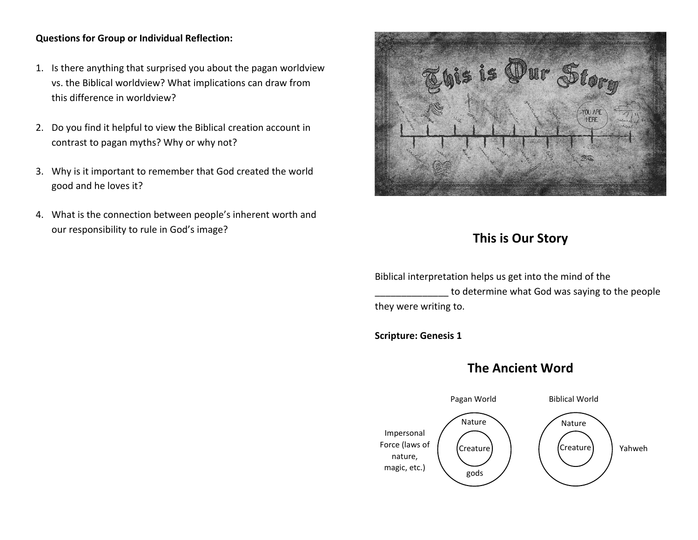## **Questions for Group or Individual Reflection:**

- 1. Is there anything that surprised you about the pagan worldview vs. the Biblical worldview? What implications can draw from this difference in worldview?
- 2. Do you find it helpful to view the Biblical creation account in contrast to pagan myths? Why or why not?
- 3. Why is it important to remember that God created the world good and he loves it?
- 4. What is the connection between people's inherent worth and our responsibility to rule in God's image?



## **This is Our Story**

Biblical interpretation helps us get into the mind of the to determine what God was saying to the people they were writing to.

**Scripture: Genesis 1**

## **The Ancient Word**